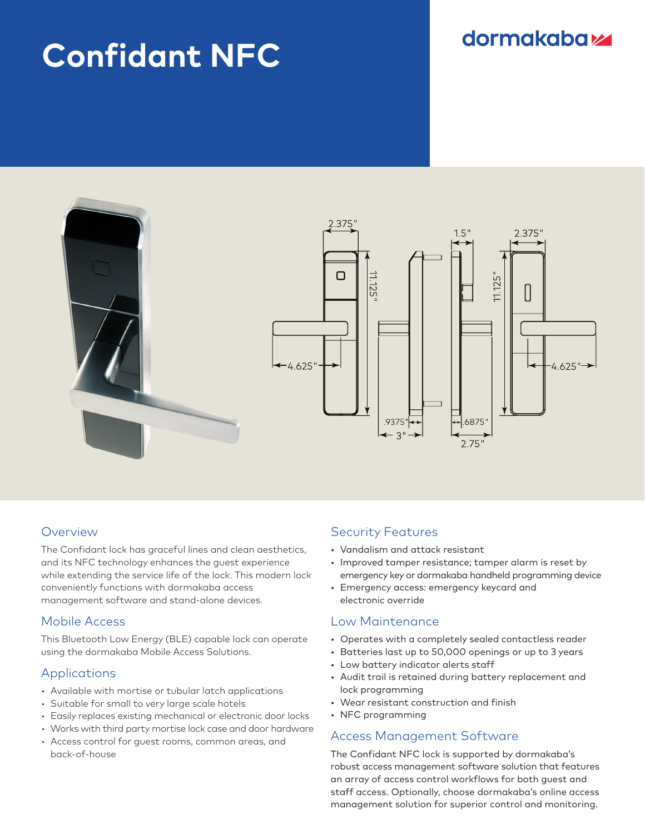# **Confidant NFC**

# **dormakabazz**



## **Overview**

The Confidant lock has graceful lines and clean aesthetics, and its NFC technology enhances the guest experience while extending the service life of the lock. This modern lock conveniently functions with dormakaba access management software and stand-alone devices.

#### Mobile Access

This Bluetooth Low Energy (BLE) capable lock can operate using the dormakaba Mobile Access Solutions.

#### Applications

- Available with mortise or tubular latch applications
- Suitable for small to very large scale hotels
- Easily replaces existing mechanical or electronic door locks
- Works with third party mortise lock case and door hardware
- Access control for guest rooms, common areas, and back-of-house

# Security Features

- Vandalism and attack resistant
- Improved tamper resistance; tamper alarm is reset by emergency key or dormakaba handheld programming device
- Emergency access: emergency keycard and electronic override

## Low Maintenance

- Operates with a completely sealed contactless reader
- Batteries last up to 50,000 openings or up to 3 years
- Low battery indicator alerts staff
- Audit trail is retained during battery replacement and lock programming
- Wear resistant construction and finish
- NFC programming

#### Access Management Software

The Confidant NFC lock is supported by dormakaba's robust access management software solution that features an array of access control workflows for both guest and staff access. Optionally, choose dormakaba's online access management solution for superior control and monitoring.